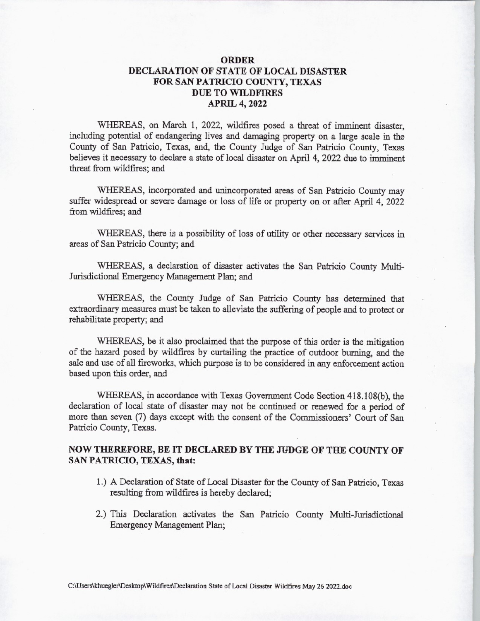## ORDER DECLARATION OF STATE OF LOCAL DISASTER FOR SAN PATRICIO COUNTY, TEXAS DUE TO WILDFIRES APRIL 4, 2022

WHEREAS, on March 1, 2022, wildfires posed <sup>a</sup> threat of imminent disaster, including potential of endangering lives and damaging property on a large scale in the County of San Patricio, Texas, and, the County Judge of San Patricio County, Texas believes it necessary to declare a state of local disaster on April 4, 2022 due to imminent threat from wildfires; and

WHEREAS, incorporated and unincorporated areas of San Patricio County may suffer widespread or severe damage or loss of life or property on or after April 4, 2022 from wildfires; and

WHEREAS, there is a possibility of loss of utility or other necessary services in areas of San Patricio County; and

WHEREAS, a declaration of disaster activates the San Patricio County Multi-Jurisdictional Emergency Management Plan; and

WHEREAS, the County Judge of San Patricio County has determined that extraordinary measures must be taken to alleviate the suffering of people and to protect or rehabilitate property; and

WHEREAS, be it also proclaimed that the purpose of this order is the mitigation of the hazard posed by wildfires by curtailing the practice of outdoor burning, and the sale and use of all fireworks, which purpose is to be considered in any enforcement action based upon this order, and

WHEREAS, in accordance with Texas Government Code Section 418.108(b), the declaration of local state of disaster may not be continued or renewed for a period of more than seven (7) days except with the consent of the Commissioners' Court of San Patricio County, Texas.

## NOW THEREFORE, BE IT DECLARED BY THE JUDGE OF THE COUNTY OF SAN PATRICIO, TEXAS, that:

- 1.) A Declaration of State of Local Disaster for the County of San Patricio, Texas resulting from wildfires is hereby declared;
- 2.) This Declaration activates the San Patricio County Multi-Jurisdictional Emergency Management Plan;

C:\ Users\khuegler\Desktop\ Wildfires\Declaration State of Local Disaster Wildfires May <sup>26</sup> 2022. doc